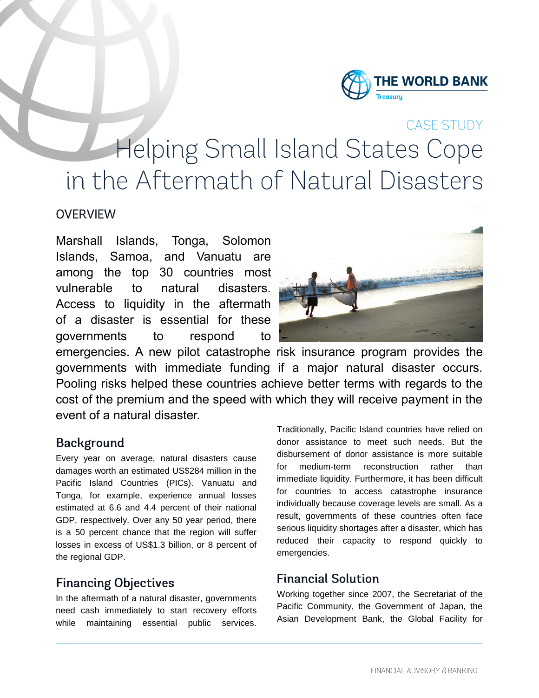

CASE STUDY

# **Helping Small Island States Cope** in the Aftermath of Natural Disasters

#### **OVERVIEW**

Marshall Islands, Tonga, Solomon Islands, Samoa, and Vanuatu are among the top 30 countries most vulnerable to natural disasters. Access to liquidity in the aftermath of a disaster is essential for these governments to respond to



emergencies. A new pilot catastrophe risk insurance program provides the governments with immediate funding if a major natural disaster occurs. Pooling risks helped these countries achieve better terms with regards to the cost of the premium and the speed with which they will receive payment in the event of a natural disaster.

## **Background**

Every year on average, natural disasters cause damages worth an estimated US\$284 million in the Pacific Island Countries (PICs). Vanuatu and Tonga, for example, experience annual losses estimated at 6.6 and 4.4 percent of their national GDP, respectively. Over any 50 year period, there is a 50 percent chance that the region will suffer losses in excess of US\$1.3 billion, or 8 percent of the regional GDP.

# **Financing Objectives**

In the aftermath of a natural disaster, governments need cash immediately to start recovery efforts while maintaining essential public services.

Traditionally, Pacific Island countries have relied on donor assistance to meet such needs. But the disbursement of donor assistance is more suitable for medium-term reconstruction rather than immediate liquidity. Furthermore, it has been difficult for countries to access catastrophe insurance individually because coverage levels are small. As a result, governments of these countries often face serious liquidity shortages after a disaster, which has reduced their capacity to respond quickly to emergencies.

## **Financial Solution**

Working together since 2007, the Secretariat of the Pacific Community, the Government of Japan, the Asian Development Bank, the Global Facility for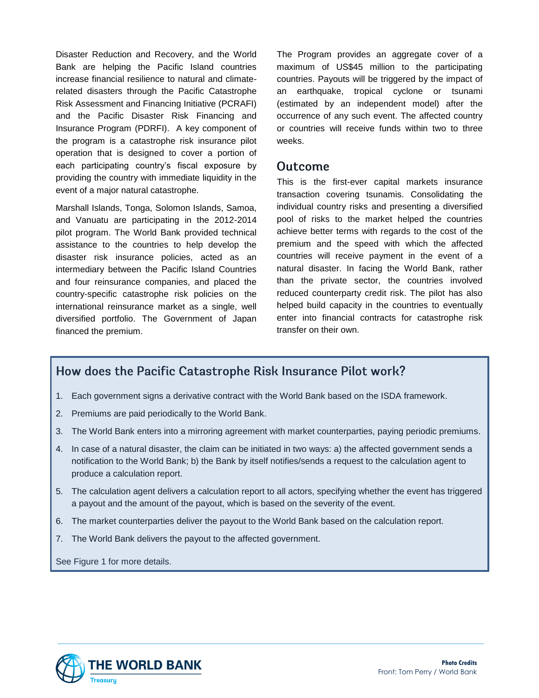Disaster Reduction and Recovery, and the World Bank are helping the Pacific Island countries increase financial resilience to natural and climaterelated disasters through the Pacific Catastrophe Risk Assessment and Financing Initiative (PCRAFI) and the Pacific Disaster Risk Financing and Insurance Program (PDRFI). A key component of the program is a catastrophe risk insurance pilot operation that is designed to cover a portion of each participating country's fiscal exposure by providing the country with immediate liquidity in the event of a major natural catastrophe.

Marshall Islands, Tonga, Solomon Islands, Samoa, and Vanuatu are participating in the 2012-2014 pilot program. The World Bank provided technical assistance to the countries to help develop the disaster risk insurance policies, acted as an intermediary between the Pacific Island Countries and four reinsurance companies, and placed the country-specific catastrophe risk policies on the international reinsurance market as a single, well diversified portfolio. The Government of Japan financed the premium.

The Program provides an aggregate cover of a maximum of US\$45 million to the participating countries. Payouts will be triggered by the impact of an earthquake, tropical cyclone or tsunami (estimated by an independent model) after the occurrence of any such event. The affected country or countries will receive funds within two to three weeks.

#### **Outcome**

This is the first-ever capital markets insurance transaction covering tsunamis. Consolidating the individual country risks and presenting a diversified pool of risks to the market helped the countries achieve better terms with regards to the cost of the premium and the speed with which the affected countries will receive payment in the event of a natural disaster. In facing the World Bank, rather than the private sector, the countries involved reduced counterparty credit risk. The pilot has also helped build capacity in the countries to eventually enter into financial contracts for catastrophe risk transfer on their own.

#### How does the Pacific Catastrophe Risk Insurance Pilot work?

- 1. Each government signs a derivative contract with the World Bank based on the ISDA framework.
- 2. Premiums are paid periodically to the World Bank.
- 3. The World Bank enters into a mirroring agreement with market counterparties, paying periodic premiums.
- 4. In case of a natural disaster, the claim can be initiated in two ways: a) the affected government sends a notification to the World Bank; b) the Bank by itself notifies/sends a request to the calculation agent to produce a calculation report.
- 5. The calculation agent delivers a calculation report to all actors, specifying whether the event has triggered a payout and the amount of the payout, which is based on the severity of the event.
- 6. The market counterparties deliver the payout to the World Bank based on the calculation report.
- 7. The World Bank delivers the payout to the affected government.

See Figure 1 for more details.